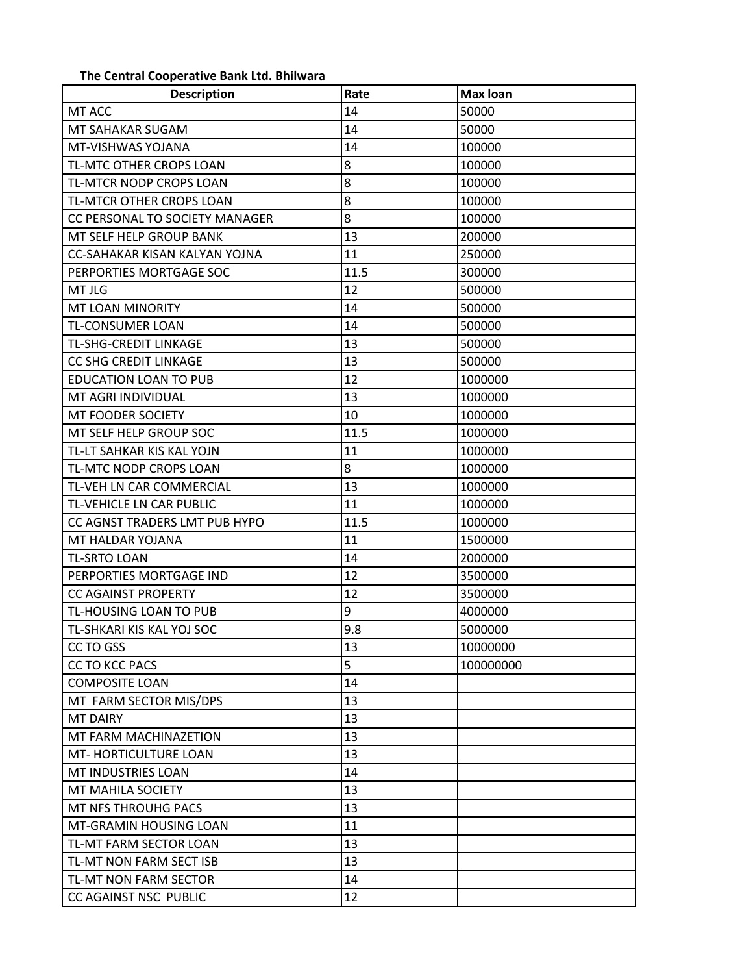## The Central Cooperative Bank Ltd. Bhilwara

| <b>Description</b>             | Rate | <b>Max loan</b> |
|--------------------------------|------|-----------------|
| MT ACC                         | 14   | 50000           |
| MT SAHAKAR SUGAM               | 14   | 50000           |
| MT-VISHWAS YOJANA              | 14   | 100000          |
| <b>TL-MTC OTHER CROPS LOAN</b> | 8    | 100000          |
| TL-MTCR NODP CROPS LOAN        | 8    | 100000          |
| TL-MTCR OTHER CROPS LOAN       | 8    | 100000          |
| CC PERSONAL TO SOCIETY MANAGER | 8    | 100000          |
| MT SELF HELP GROUP BANK        | 13   | 200000          |
| CC-SAHAKAR KISAN KALYAN YOJNA  | 11   | 250000          |
| PERPORTIES MORTGAGE SOC        | 11.5 | 300000          |
| MT JLG                         | 12   | 500000          |
| <b>MT LOAN MINORITY</b>        | 14   | 500000          |
| <b>TL-CONSUMER LOAN</b>        | 14   | 500000          |
| <b>TL-SHG-CREDIT LINKAGE</b>   | 13   | 500000          |
| <b>CC SHG CREDIT LINKAGE</b>   | 13   | 500000          |
| <b>EDUCATION LOAN TO PUB</b>   | 12   | 1000000         |
| MT AGRI INDIVIDUAL             | 13   | 1000000         |
| MT FOODER SOCIETY              | 10   | 1000000         |
| MT SELF HELP GROUP SOC         | 11.5 | 1000000         |
| TL-LT SAHKAR KIS KAL YOJN      | 11   | 1000000         |
| TL-MTC NODP CROPS LOAN         | 8    | 1000000         |
| TL-VEH LN CAR COMMERCIAL       | 13   | 1000000         |
| TL-VEHICLE LN CAR PUBLIC       | 11   | 1000000         |
| CC AGNST TRADERS LMT PUB HYPO  | 11.5 | 1000000         |
| MT HALDAR YOJANA               | 11   | 1500000         |
| <b>TL-SRTO LOAN</b>            | 14   | 2000000         |
| PERPORTIES MORTGAGE IND        | 12   | 3500000         |
| <b>CC AGAINST PROPERTY</b>     | 12   | 3500000         |
| TL-HOUSING LOAN TO PUB         | 9    | 4000000         |
| TL-SHKARI KIS KAL YOJ SOC      | 9.8  | 5000000         |
| CC TO GSS                      | 13   | 10000000        |
| <b>CC TO KCC PACS</b>          | 5    | 100000000       |
| <b>COMPOSITE LOAN</b>          | 14   |                 |
| MT FARM SECTOR MIS/DPS         | 13   |                 |
| <b>MT DAIRY</b>                | 13   |                 |
| MT FARM MACHINAZETION          | 13   |                 |
| MT-HORTICULTURE LOAN           | 13   |                 |
| MT INDUSTRIES LOAN             | 14   |                 |
| MT MAHILA SOCIETY              | 13   |                 |
| <b>MT NFS THROUHG PACS</b>     | 13   |                 |
| MT-GRAMIN HOUSING LOAN         | 11   |                 |
| TL-MT FARM SECTOR LOAN         | 13   |                 |
| TL-MT NON FARM SECT ISB        | 13   |                 |
| TL-MT NON FARM SECTOR          | 14   |                 |
| CC AGAINST NSC PUBLIC          | 12   |                 |